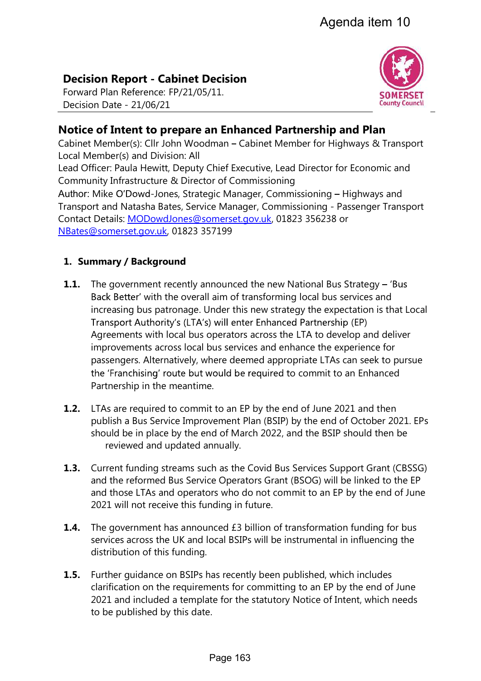# Decision Report - Cabinet Decision

Forward Plan Reference: FP/21/05/11. Decision Date - 21/06/21



## Notice of Intent to prepare an Enhanced Partnership and Plan

Cabinet Member(s): Cllr John Woodman – Cabinet Member for Highways & Transport Local Member(s) and Division: All

Lead Officer: Paula Hewitt, Deputy Chief Executive, Lead Director for Economic and Community Infrastructure & Director of Commissioning

Author: Mike O'Dowd-Jones, Strategic Manager, Commissioning - Highways and Transport and Natasha Bates, Service Manager, Commissioning - Passenger Transport Contact Details: MODowdJones@somerset.gov.uk, 01823 356238 or NBates@somerset.gov.uk, 01823 357199

## 1. Summary / Background

- **1.1.** The government recently announced the new National Bus Strategy 'Bus Back Better' with the overall aim of transforming local bus services and increasing bus patronage. Under this new strategy the expectation is that Local Transport Authority's (LTA's) will enter Enhanced Partnership (EP) Agreements with local bus operators across the LTA to develop and deliver improvements across local bus services and enhance the experience for passengers. Alternatively, where deemed appropriate LTAs can seek to pursue the 'Franchising' route but would be required to commit to an Enhanced Partnership in the meantime.
- **1.2.** LTAs are required to commit to an EP by the end of June 2021 and then publish a Bus Service Improvement Plan (BSIP) by the end of October 2021. EPs should be in place by the end of March 2022, and the BSIP should then be reviewed and updated annually.
- **1.3.** Current funding streams such as the Covid Bus Services Support Grant (CBSSG) and the reformed Bus Service Operators Grant (BSOG) will be linked to the EP and those LTAs and operators who do not commit to an EP by the end of June 2021 will not receive this funding in future.
- **1.4.** The government has announced £3 billion of transformation funding for bus services across the UK and local BSIPs will be instrumental in influencing the distribution of this funding.
- **1.5.** Further quidance on BSIPs has recently been published, which includes clarification on the requirements for committing to an EP by the end of June 2021 and included a template for the statutory Notice of Intent, which needs to be published by this date.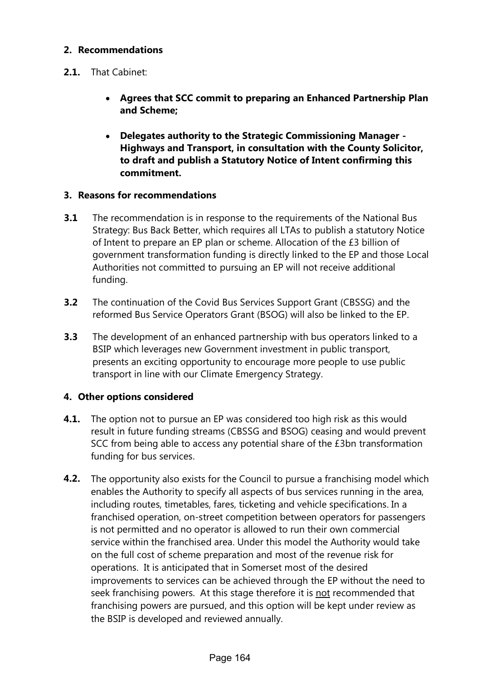#### 2. Recommendations

- 2.1. That Cabinet:
	- Agrees that SCC commit to preparing an Enhanced Partnership Plan and Scheme;
	- Delegates authority to the Strategic Commissioning Manager Highways and Transport, in consultation with the County Solicitor, to draft and publish a Statutory Notice of Intent confirming this commitment.

#### 3. Reasons for recommendations

- **3.1** The recommendation is in response to the requirements of the National Bus Strategy: Bus Back Better, which requires all LTAs to publish a statutory Notice of Intent to prepare an EP plan or scheme. Allocation of the £3 billion of government transformation funding is directly linked to the EP and those Local Authorities not committed to pursuing an EP will not receive additional funding.
- **3.2** The continuation of the Covid Bus Services Support Grant (CBSSG) and the reformed Bus Service Operators Grant (BSOG) will also be linked to the EP.
- **3.3** The development of an enhanced partnership with bus operators linked to a BSIP which leverages new Government investment in public transport, presents an exciting opportunity to encourage more people to use public transport in line with our Climate Emergency Strategy.

#### 4. Other options considered

- **4.1.** The option not to pursue an EP was considered too high risk as this would result in future funding streams (CBSSG and BSOG) ceasing and would prevent SCC from being able to access any potential share of the £3bn transformation funding for bus services.
- **4.2.** The opportunity also exists for the Council to pursue a franchising model which enables the Authority to specify all aspects of bus services running in the area, including routes, timetables, fares, ticketing and vehicle specifications. In a franchised operation, on-street competition between operators for passengers is not permitted and no operator is allowed to run their own commercial service within the franchised area. Under this model the Authority would take on the full cost of scheme preparation and most of the revenue risk for operations. It is anticipated that in Somerset most of the desired improvements to services can be achieved through the EP without the need to seek franchising powers. At this stage therefore it is not recommended that franchising powers are pursued, and this option will be kept under review as the BSIP is developed and reviewed annually.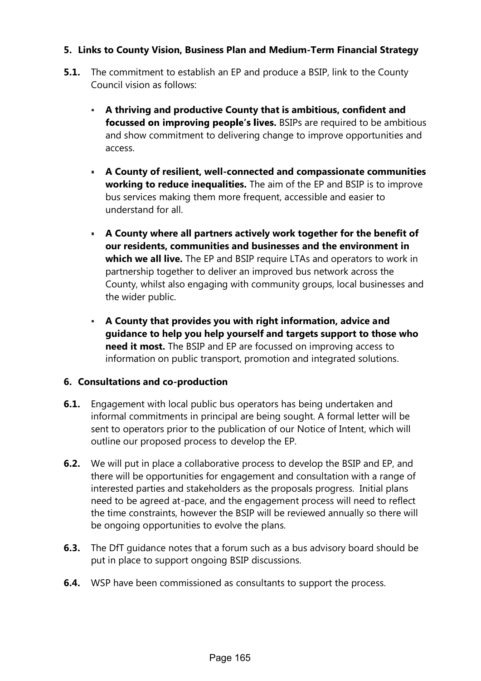#### 5. Links to County Vision, Business Plan and Medium-Term Financial Strategy

- **5.1.** The commitment to establish an EP and produce a BSIP, link to the County Council vision as follows:
	- A thriving and productive County that is ambitious, confident and focussed on improving people's lives. BSIPs are required to be ambitious and show commitment to delivering change to improve opportunities and access.
	- A County of resilient, well-connected and compassionate communities working to reduce inequalities. The aim of the EP and BSIP is to improve bus services making them more frequent, accessible and easier to understand for all.
	- A County where all partners actively work together for the benefit of our residents, communities and businesses and the environment in which we all live. The EP and BSIP require LTAs and operators to work in partnership together to deliver an improved bus network across the County, whilst also engaging with community groups, local businesses and the wider public.
	- A County that provides you with right information, advice and guidance to help you help yourself and targets support to those who need it most. The BSIP and EP are focussed on improving access to information on public transport, promotion and integrated solutions.

#### 6. Consultations and co-production

- 6.1. Engagement with local public bus operators has being undertaken and informal commitments in principal are being sought. A formal letter will be sent to operators prior to the publication of our Notice of Intent, which will outline our proposed process to develop the EP.
- **6.2.** We will put in place a collaborative process to develop the BSIP and EP, and there will be opportunities for engagement and consultation with a range of interested parties and stakeholders as the proposals progress. Initial plans need to be agreed at-pace, and the engagement process will need to reflect the time constraints, however the BSIP will be reviewed annually so there will be ongoing opportunities to evolve the plans.
- **6.3.** The DfT quidance notes that a forum such as a bus advisory board should be put in place to support ongoing BSIP discussions.
- **6.4.** WSP have been commissioned as consultants to support the process.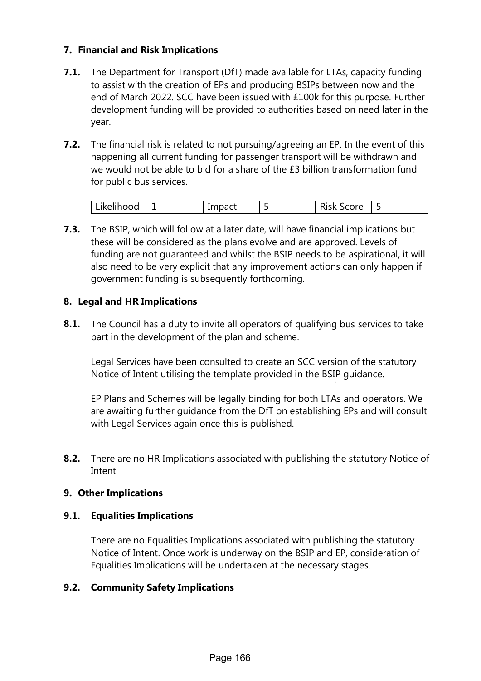#### 7. Financial and Risk Implications

- **7.1.** The Department for Transport (DfT) made available for LTAs, capacity funding to assist with the creation of EPs and producing BSIPs between now and the end of March 2022. SCC have been issued with £100k for this purpose. Further development funding will be provided to authorities based on need later in the year.
- **7.2.** The financial risk is related to not pursuing/agreeing an EP. In the event of this happening all current funding for passenger transport will be withdrawn and we would not be able to bid for a share of the £3 billion transformation fund for public bus services.

| $\cdots$<br>Likelihood | Impact |   | ∽<br>Score<br><b>Risk</b> |   |
|------------------------|--------|---|---------------------------|---|
|                        |        | - |                           | ۰ |

**7.3.** The BSIP, which will follow at a later date, will have financial implications but these will be considered as the plans evolve and are approved. Levels of funding are not guaranteed and whilst the BSIP needs to be aspirational, it will also need to be very explicit that any improvement actions can only happen if government funding is subsequently forthcoming.

#### 8. Legal and HR Implications

**8.1.** The Council has a duty to invite all operators of qualifying bus services to take part in the development of the plan and scheme.

Legal Services have been consulted to create an SCC version of the statutory Notice of Intent utilising the template provided in the BSIP guidance.

EP Plans and Schemes will be legally binding for both LTAs and operators. We are awaiting further guidance from the DfT on establishing EPs and will consult with Legal Services again once this is published.

8.2. There are no HR Implications associated with publishing the statutory Notice of Intent

#### 9. Other Implications

#### 9.1. Equalities Implications

There are no Equalities Implications associated with publishing the statutory Notice of Intent. Once work is underway on the BSIP and EP, consideration of Equalities Implications will be undertaken at the necessary stages.

#### 9.2. Community Safety Implications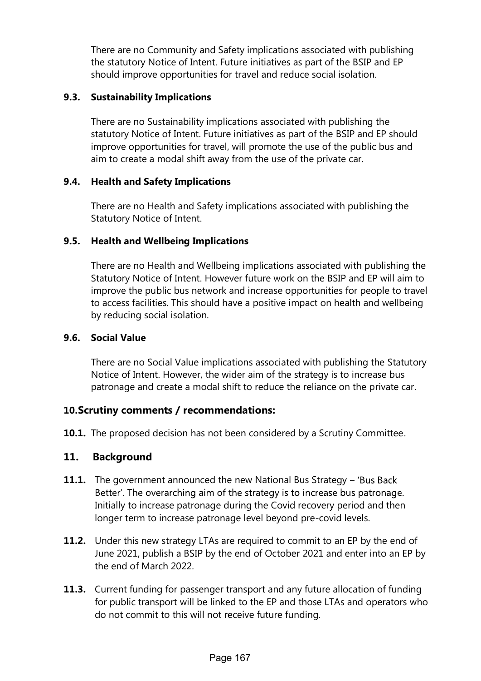There are no Community and Safety implications associated with publishing the statutory Notice of Intent. Future initiatives as part of the BSIP and EP should improve opportunities for travel and reduce social isolation.

#### 9.3. Sustainability Implications

There are no Sustainability implications associated with publishing the statutory Notice of Intent. Future initiatives as part of the BSIP and EP should improve opportunities for travel, will promote the use of the public bus and aim to create a modal shift away from the use of the private car.

#### 9.4. Health and Safety Implications

There are no Health and Safety implications associated with publishing the Statutory Notice of Intent.

#### 9.5. Health and Wellbeing Implications

There are no Health and Wellbeing implications associated with publishing the Statutory Notice of Intent. However future work on the BSIP and EP will aim to improve the public bus network and increase opportunities for people to travel to access facilities. This should have a positive impact on health and wellbeing by reducing social isolation.

#### 9.6. Social Value

There are no Social Value implications associated with publishing the Statutory Notice of Intent. However, the wider aim of the strategy is to increase bus patronage and create a modal shift to reduce the reliance on the private car.

## 10.Scrutiny comments / recommendations:

**10.1.** The proposed decision has not been considered by a Scrutiny Committee.

## 11. Background

- **11.1.** The government announced the new National Bus Strategy 'Bus Back Better'. The overarching aim of the strategy is to increase bus patronage. Initially to increase patronage during the Covid recovery period and then longer term to increase patronage level beyond pre-covid levels.
- **11.2.** Under this new strategy LTAs are required to commit to an EP by the end of June 2021, publish a BSIP by the end of October 2021 and enter into an EP by the end of March 2022.
- **11.3.** Current funding for passenger transport and any future allocation of funding for public transport will be linked to the EP and those LTAs and operators who do not commit to this will not receive future funding.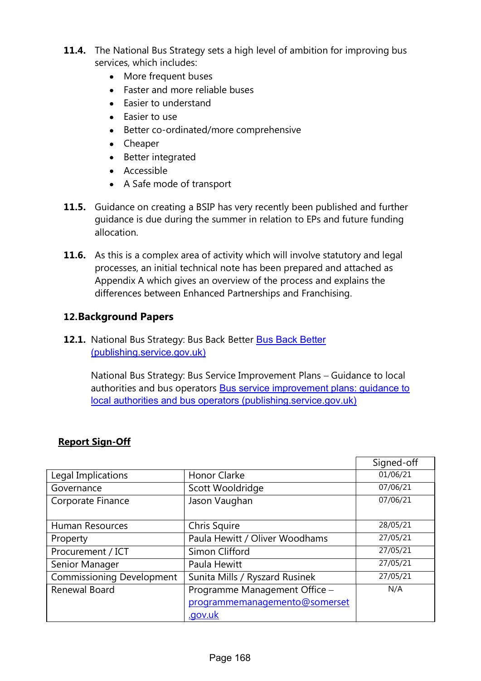- **11.4.** The National Bus Strategy sets a high level of ambition for improving bus services, which includes:
	- More frequent buses
	- Faster and more reliable buses
	- Easier to understand
	- Easier to use
	- Better co-ordinated/more comprehensive
	- Cheaper
	- Better integrated
	- Accessible
	- A Safe mode of transport
- **11.5.** Guidance on creating a BSIP has very recently been published and further guidance is due during the summer in relation to EPs and future funding allocation.
- **11.6.** As this is a complex area of activity which will involve statutory and legal processes, an initial technical note has been prepared and attached as Appendix A which gives an overview of the process and explains the differences between Enhanced Partnerships and Franchising.

## 12.Background Papers

12.1. National Bus Strategy: Bus Back Better Bus Back Better (publishing.service.gov.uk)

> National Bus Strategy: Bus Service Improvement Plans - Guidance to local authorities and bus operators Bus service improvement plans: guidance to local authorities and bus operators (publishing.service.gov.uk)

|                                  |                                | Signed-off |
|----------------------------------|--------------------------------|------------|
| Legal Implications               | Honor Clarke                   | 01/06/21   |
| Governance                       | Scott Wooldridge               | 07/06/21   |
| Corporate Finance                | Jason Vaughan                  | 07/06/21   |
| Human Resources                  | Chris Squire                   | 28/05/21   |
| Property                         | Paula Hewitt / Oliver Woodhams | 27/05/21   |
| Procurement / ICT                | Simon Clifford                 | 27/05/21   |
| Senior Manager                   | Paula Hewitt                   | 27/05/21   |
| <b>Commissioning Development</b> | Sunita Mills / Ryszard Rusinek | 27/05/21   |
| Renewal Board                    | Programme Management Office -  | N/A        |
|                                  | programmemanagemento@somerset  |            |
|                                  | <u>.gov.uk</u>                 |            |